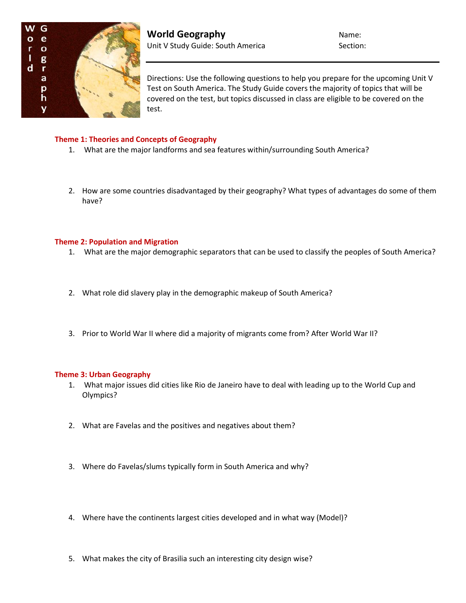

Directions: Use the following questions to help you prepare for the upcoming Unit V Test on South America. The Study Guide covers the majority of topics that will be covered on the test, but topics discussed in class are eligible to be covered on the test.

# **Theme 1: Theories and Concepts of Geography**

- 1. What are the major landforms and sea features within/surrounding South America?
- 2. How are some countries disadvantaged by their geography? What types of advantages do some of them have?

## **Theme 2: Population and Migration**

- 1. What are the major demographic separators that can be used to classify the peoples of South America?
- 2. What role did slavery play in the demographic makeup of South America?
- 3. Prior to World War II where did a majority of migrants come from? After World War II?

#### **Theme 3: Urban Geography**

- 1. What major issues did cities like Rio de Janeiro have to deal with leading up to the World Cup and Olympics?
- 2. What are Favelas and the positives and negatives about them?
- 3. Where do Favelas/slums typically form in South America and why?
- 4. Where have the continents largest cities developed and in what way (Model)?
- 5. What makes the city of Brasilia such an interesting city design wise?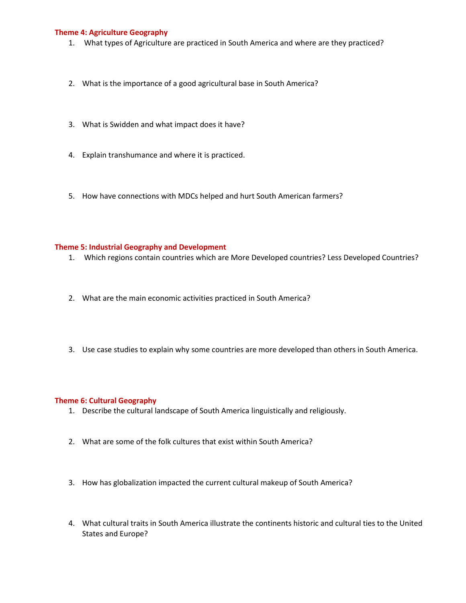# **Theme 4: Agriculture Geography**

- 1. What types of Agriculture are practiced in South America and where are they practiced?
- 2. What is the importance of a good agricultural base in South America?
- 3. What is Swidden and what impact does it have?
- 4. Explain transhumance and where it is practiced.
- 5. How have connections with MDCs helped and hurt South American farmers?

## **Theme 5: Industrial Geography and Development**

- 1. Which regions contain countries which are More Developed countries? Less Developed Countries?
- 2. What are the main economic activities practiced in South America?
- 3. Use case studies to explain why some countries are more developed than others in South America.

#### **Theme 6: Cultural Geography**

- 1. Describe the cultural landscape of South America linguistically and religiously.
- 2. What are some of the folk cultures that exist within South America?
- 3. How has globalization impacted the current cultural makeup of South America?
- 4. What cultural traits in South America illustrate the continents historic and cultural ties to the United States and Europe?